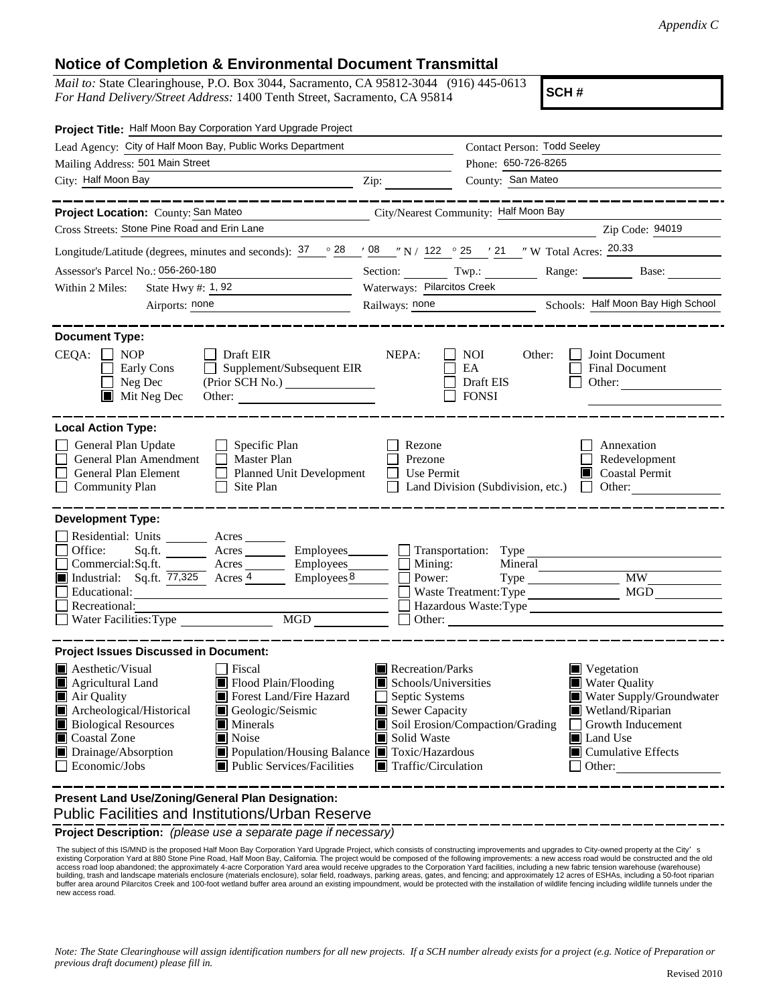## **Notice of Completion & Environmental Document Transmittal**

*Mail to:* State Clearinghouse, P.O. Box 3044, Sacramento, CA 95812-3044 (916) 445-0613 *For Hand Delivery/Street Address:* 1400 Tenth Street, Sacramento, CA 95814

**SCH #**

| Project Title: Half Moon Bay Corporation Yard Upgrade Project                                                                                                                                                                                                                                                                                                                               |                                                                                                                                   |                                                                                            |                                                                                                                                                                                  |
|---------------------------------------------------------------------------------------------------------------------------------------------------------------------------------------------------------------------------------------------------------------------------------------------------------------------------------------------------------------------------------------------|-----------------------------------------------------------------------------------------------------------------------------------|--------------------------------------------------------------------------------------------|----------------------------------------------------------------------------------------------------------------------------------------------------------------------------------|
| Lead Agency: City of Half Moon Bay, Public Works Department                                                                                                                                                                                                                                                                                                                                 |                                                                                                                                   | <b>Contact Person: Todd Seeley</b>                                                         |                                                                                                                                                                                  |
| Mailing Address: 501 Main Street                                                                                                                                                                                                                                                                                                                                                            |                                                                                                                                   | Phone: 650-726-8265                                                                        |                                                                                                                                                                                  |
| City: Half Moon Bay<br><u> 1989 - Johann Barbara, martin amerikan basar da</u>                                                                                                                                                                                                                                                                                                              | Zip: $\qquad \qquad$                                                                                                              | County: San Mateo                                                                          |                                                                                                                                                                                  |
|                                                                                                                                                                                                                                                                                                                                                                                             |                                                                                                                                   |                                                                                            |                                                                                                                                                                                  |
| Project Location: County: San Mateo<br>City/Nearest Community: Half Moon Bay                                                                                                                                                                                                                                                                                                                |                                                                                                                                   |                                                                                            |                                                                                                                                                                                  |
| Cross Streets: Stone Pine Road and Erin Lane                                                                                                                                                                                                                                                                                                                                                |                                                                                                                                   |                                                                                            | Zip Code: 94019                                                                                                                                                                  |
| Longitude/Latitude (degrees, minutes and seconds): $\frac{37}{28}$ $\frac{28}{108}$ $\frac{108}{100}$ N / 122 $\degree$ 25 $\degree$ / 21 $\degree$ W Total Acres: $\frac{20.33}{200}$                                                                                                                                                                                                      |                                                                                                                                   |                                                                                            |                                                                                                                                                                                  |
| Assessor's Parcel No.: 056-260-180                                                                                                                                                                                                                                                                                                                                                          |                                                                                                                                   |                                                                                            | Section: Twp.: Range: Base:                                                                                                                                                      |
| State Hwy $\#$ : 1, 92<br>Within 2 Miles:                                                                                                                                                                                                                                                                                                                                                   | Waterways: Pilarcitos Creek                                                                                                       |                                                                                            |                                                                                                                                                                                  |
| Airports: none<br>the contract of the contract of the contract of                                                                                                                                                                                                                                                                                                                           | Railways: none Schools: Half Moon Bay High School                                                                                 |                                                                                            |                                                                                                                                                                                  |
|                                                                                                                                                                                                                                                                                                                                                                                             |                                                                                                                                   |                                                                                            |                                                                                                                                                                                  |
| <b>Document Type:</b><br>$CEQA: \Box NP$<br>Draft EIR<br>Supplement/Subsequent EIR<br>Early Cons<br>Neg Dec<br>$\blacksquare$ Mit Neg Dec<br>Other:                                                                                                                                                                                                                                         | NEPA:                                                                                                                             | <b>NOI</b><br>Other:<br>EA<br>Draft EIS<br><b>FONSI</b>                                    | Joint Document<br>Final Document<br>Other:                                                                                                                                       |
| <b>Local Action Type:</b><br>General Plan Update<br>Specific Plan<br>General Plan Amendment<br>Master Plan<br>General Plan Element<br><b>Planned Unit Development</b><br>Site Plan<br>$\Box$ Community Plan                                                                                                                                                                                 | Rezone<br>Prezone<br>Use Permit                                                                                                   | Land Division (Subdivision, etc.)                                                          | Annexation<br>Redevelopment<br>Coastal Permit<br>Other:                                                                                                                          |
| <b>Development Type:</b>                                                                                                                                                                                                                                                                                                                                                                    |                                                                                                                                   |                                                                                            |                                                                                                                                                                                  |
| Residential: Units<br>Acres<br>Office:<br>Sq.ft.<br>Acres ____________ Employees_________<br>Commercial:Sq.ft.<br>Acres Employees<br>Industrial: Sq.ft. 77,325 Acres 4 Employees Employees<br>Educational:<br>Recreational:<br>MGD<br>Water Facilities: Type                                                                                                                                | Mining:<br>Power:                                                                                                                 | Transportation: Type<br>Mineral<br>Waste Treatment: Type<br>Hazardous Waste:Type<br>Other: | <b>MW</b><br>MGD                                                                                                                                                                 |
| <b>Project Issues Discussed in Document:</b>                                                                                                                                                                                                                                                                                                                                                |                                                                                                                                   |                                                                                            |                                                                                                                                                                                  |
| $\blacksquare$ Aesthetic/Visual<br>Fiscal<br>Flood Plain/Flooding<br>Agricultural Land<br>Air Quality<br>Forest Land/Fire Hazard<br>Archeological/Historical<br>Geologic/Seismic<br><b>Biological Resources</b><br>$\blacksquare$ Minerals<br>Coastal Zone<br>Noise<br>Drainage/Absorption<br>■ Population/Housing Balance ■ Toxic/Hazardous<br>Public Services/Facilities<br>Economic/Jobs | Recreation/Parks<br>Schools/Universities<br>Septic Systems<br>Sewer Capacity<br>Solid Waste<br>$\blacksquare$ Traffic/Circulation | Soil Erosion/Compaction/Grading                                                            | $\blacksquare$ Vegetation<br><b>Water Quality</b><br>Water Supply/Groundwater<br>Wetland/Riparian<br>Growth Inducement<br>Land Use<br>$\Box$ Cumulative Effects<br>$\Box$ Other: |
| Present Land Use/Zoning/General Plan Designation:                                                                                                                                                                                                                                                                                                                                           |                                                                                                                                   |                                                                                            |                                                                                                                                                                                  |

Public Facilities and Institutions/Urban Reserve

**Project Description:** *(please use a separate page if necessary)*

The subject of this IS/MND is the proposed Half Moon Bay Corporation Yard Upgrade Project, which consists of constructing improvements and upgrades to City-owned property at the City's s<br>existing Corporation Yard at 880 St access road loop abandoned; the approximately 4-acre Corporation Yard area would receive upgrades to the Corporation Yard facilities, including a new fabric tension warehouse (warehouse) building, trash and landscape materials enclosure (materials enclosure), solar field, roadways, parking areas, gates, and fencing; and approximately 12 acres of ESHAs, including a 50-foot riparian<br>buffer area around Pilarc new access road.

*Note: The State Clearinghouse will assign identification numbers for all new projects. If a SCH number already exists for a project (e.g. Notice of Preparation or previous draft document) please fill in.*